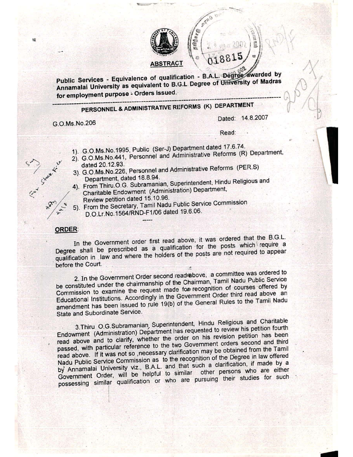

 $P_{\text{L}}$  Services - Equivalence of qualification - B.A.L. Degree award by Annamalai University as equivalent to B.G.L Degree of University of Madras for employment purpose - Orders Issued.

--

## PERSONNEL & ADMINISTRATIVE RI:FORMS (K) DEPARTMENT **------------------------------------------------------------------------------------------------**

G.O.Ms.No.206

Dated: 14.8.2007

,  $\left| \cdot \right|$ 

-

. (

Read:

.... - -:~~--:-':':"~"  $\mathscr{N}$ . Using  $\mathscr{N}$ 

- 1). G.O.Ms.No.1995, Public (Ser-J) Department dated 17.6.74.
- 2). G.O.Ms.No.441, Personnel and Administrative Reforms (R) Department,
- dated 20.12.93  $\frac{1}{2}$  3). G.O.Ms. No. 226. Personnel and Administrative Reforms (PER.S)
	- Department, dated 18.8.94.<br>4). From Thiru.O.G. Subramanian, Superintendent, Hindu Religious and Charitable Endowment (Administration) Department, Review petition dated 15.10.96.
	- 5). From the Secretary, Tamil Nadu Public Service Commission D.O.Lr.No.1564/RND-F1/06 dated 19.6.06.

## ORDER:

'.

.~ In the Government order first read above, it was ordered that the B.G.L. Degree shall be prescribed as a qualification for the posts which require a qualification in ,law and where the holders of the posts are not required to appear before the Court.

2. In the Government Order second read above, a committee was ordered to be constituted under the chairmanship of the Chairman, Tamil Nadu Public Service Commission to examine the request made for recognition of courses offered by Educational Institutions. Accordingly in the Government Order third read above an amendment has been issued to rule 19(b) of the General Rules to the Tamil Nadu State and Subordinate Service.

3.Thiru O.G.Subramanian, Superintendent. Hindu Religious and Charitable Endowment (Administration) Department has requested to review his petition fourth read above and to clarify, whether the order on his revision petition has been passed, with particular reference to the two Government orders second and third read above. If it was not so ,necessary clarification'may be obtained from the Tamil Nadu Public Service Commission as to the recognition of the Degree in law offered by Annamalai University viz., B.A.L. and that such a clarification, if made by a Government Order, will be helpful to similar other persons who are either possessing similar qualification 'or who are pursuing their studies for such

 $\mathbf{r}$